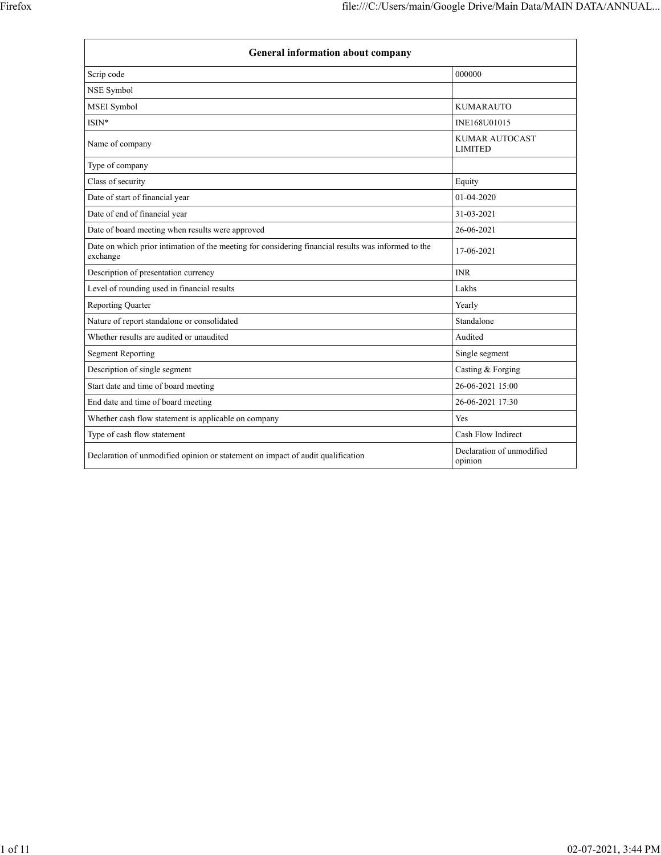| <b>General information about company</b>                                                                        |                                         |  |
|-----------------------------------------------------------------------------------------------------------------|-----------------------------------------|--|
| Scrip code                                                                                                      | 000000                                  |  |
| <b>NSE Symbol</b>                                                                                               |                                         |  |
| <b>MSEI</b> Symbol                                                                                              | <b>KUMARAUTO</b>                        |  |
| $ISIN*$                                                                                                         | INE168U01015                            |  |
| Name of company                                                                                                 | <b>KUMAR AUTOCAST</b><br><b>LIMITED</b> |  |
| Type of company                                                                                                 |                                         |  |
| Class of security                                                                                               | Equity                                  |  |
| Date of start of financial year                                                                                 | 01-04-2020                              |  |
| Date of end of financial year                                                                                   | 31-03-2021                              |  |
| Date of board meeting when results were approved                                                                | 26-06-2021                              |  |
| Date on which prior intimation of the meeting for considering financial results was informed to the<br>exchange | 17-06-2021                              |  |
| Description of presentation currency                                                                            | <b>INR</b>                              |  |
| Level of rounding used in financial results                                                                     | Lakhs                                   |  |
| <b>Reporting Quarter</b>                                                                                        | Yearly                                  |  |
| Nature of report standalone or consolidated                                                                     | Standalone                              |  |
| Whether results are audited or unaudited                                                                        | Audited                                 |  |
| <b>Segment Reporting</b>                                                                                        | Single segment                          |  |
| Description of single segment                                                                                   | Casting & Forging                       |  |
| Start date and time of board meeting                                                                            | 26-06-2021 15:00                        |  |
| End date and time of board meeting                                                                              | 26-06-2021 17:30                        |  |
| Whether cash flow statement is applicable on company                                                            | Yes                                     |  |
| Type of cash flow statement                                                                                     | Cash Flow Indirect                      |  |
| Declaration of unmodified opinion or statement on impact of audit qualification                                 | Declaration of unmodified<br>opinion    |  |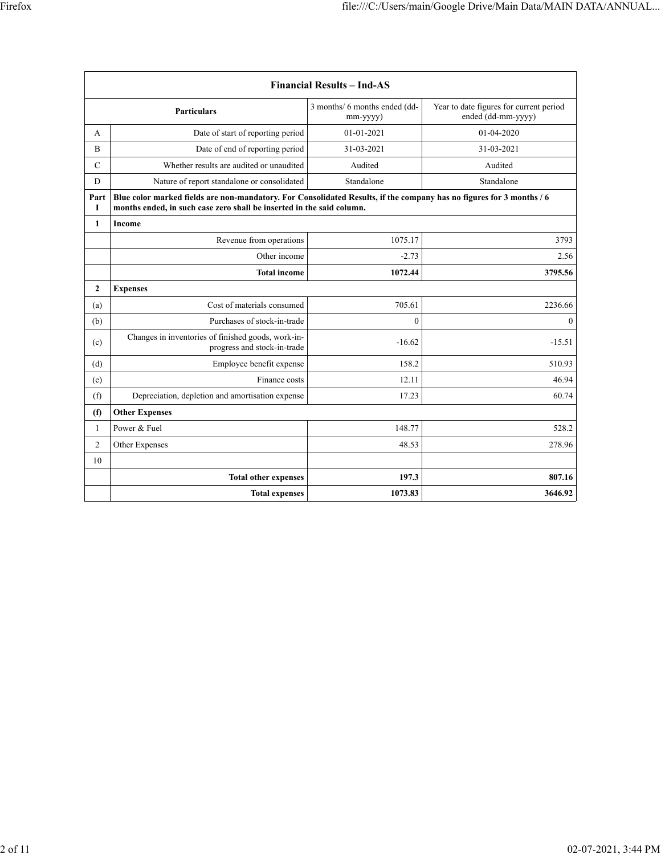| <b>Financial Results - Ind-AS</b>                                                                    |                                                                                                                                                                                               |                  |              |  |  |
|------------------------------------------------------------------------------------------------------|-----------------------------------------------------------------------------------------------------------------------------------------------------------------------------------------------|------------------|--------------|--|--|
|                                                                                                      | Year to date figures for current period<br>3 months/ 6 months ended (dd-<br><b>Particulars</b><br>ended (dd-mm-yyyy)<br>mm-yyyy)                                                              |                  |              |  |  |
| A                                                                                                    | Date of start of reporting period                                                                                                                                                             | $01 - 01 - 2021$ | 01-04-2020   |  |  |
| B                                                                                                    | Date of end of reporting period                                                                                                                                                               | 31-03-2021       | 31-03-2021   |  |  |
| $\mathcal{C}$                                                                                        | Whether results are audited or unaudited                                                                                                                                                      | Audited          | Audited      |  |  |
| D                                                                                                    | Nature of report standalone or consolidated                                                                                                                                                   | Standalone       | Standalone   |  |  |
| Part<br>1                                                                                            | Blue color marked fields are non-mandatory. For Consolidated Results, if the company has no figures for 3 months / 6<br>months ended, in such case zero shall be inserted in the said column. |                  |              |  |  |
| $\mathbf{1}$                                                                                         | Income                                                                                                                                                                                        |                  |              |  |  |
|                                                                                                      | Revenue from operations                                                                                                                                                                       | 1075.17          | 3793         |  |  |
|                                                                                                      | Other income                                                                                                                                                                                  | $-2.73$          | 2.56         |  |  |
|                                                                                                      | <b>Total income</b>                                                                                                                                                                           | 1072.44          | 3795.56      |  |  |
| $\boldsymbol{2}$                                                                                     | <b>Expenses</b>                                                                                                                                                                               |                  |              |  |  |
| (a)                                                                                                  | Cost of materials consumed                                                                                                                                                                    | 705.61           | 2236.66      |  |  |
| (b)                                                                                                  | Purchases of stock-in-trade                                                                                                                                                                   | $\mathbf{0}$     | $\mathbf{0}$ |  |  |
| Changes in inventories of finished goods, work-in-<br>$-16.62$<br>(c)<br>progress and stock-in-trade |                                                                                                                                                                                               | $-15.51$         |              |  |  |
| (d)                                                                                                  | Employee benefit expense                                                                                                                                                                      | 158.2            | 510.93       |  |  |
| (e)                                                                                                  | Finance costs                                                                                                                                                                                 | 12.11            | 46.94        |  |  |
| (f)                                                                                                  | Depreciation, depletion and amortisation expense                                                                                                                                              | 17.23            | 60.74        |  |  |
| (f)                                                                                                  | <b>Other Expenses</b>                                                                                                                                                                         |                  |              |  |  |
| $\mathbf{1}$                                                                                         | Power & Fuel                                                                                                                                                                                  | 148.77           | 528.2        |  |  |
| $\overline{2}$                                                                                       | Other Expenses                                                                                                                                                                                | 48.53            | 278.96       |  |  |
| 10                                                                                                   |                                                                                                                                                                                               |                  |              |  |  |
|                                                                                                      | <b>Total other expenses</b>                                                                                                                                                                   | 197.3            | 807.16       |  |  |
|                                                                                                      | <b>Total expenses</b>                                                                                                                                                                         | 1073.83          | 3646.92      |  |  |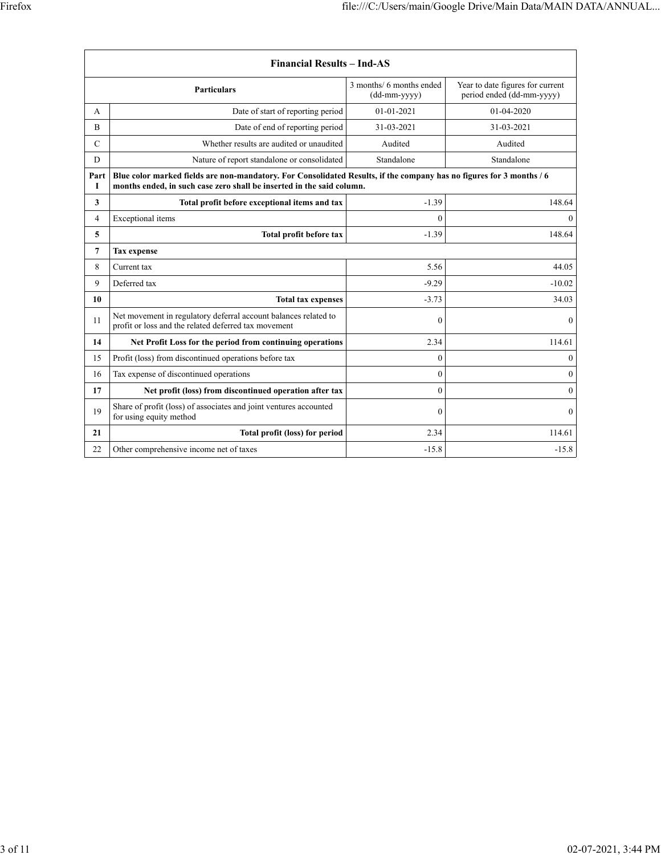| <b>Financial Results - Ind-AS</b> |                                                                                                                                                                                               |                                            |                                                               |
|-----------------------------------|-----------------------------------------------------------------------------------------------------------------------------------------------------------------------------------------------|--------------------------------------------|---------------------------------------------------------------|
|                                   | <b>Particulars</b>                                                                                                                                                                            | 3 months/ 6 months ended<br>$(dd-mm-yyyy)$ | Year to date figures for current<br>period ended (dd-mm-yyyy) |
| A                                 | Date of start of reporting period                                                                                                                                                             | $01 - 01 - 2021$                           | 01-04-2020                                                    |
| $\overline{B}$                    | Date of end of reporting period                                                                                                                                                               | 31-03-2021                                 | 31-03-2021                                                    |
| $\mathcal{C}$                     | Whether results are audited or unaudited                                                                                                                                                      | Audited                                    | Audited                                                       |
| D                                 | Nature of report standalone or consolidated                                                                                                                                                   | Standalone                                 | Standalone                                                    |
| Part<br>1                         | Blue color marked fields are non-mandatory. For Consolidated Results, if the company has no figures for 3 months / 6<br>months ended, in such case zero shall be inserted in the said column. |                                            |                                                               |
| 3                                 | Total profit before exceptional items and tax                                                                                                                                                 | $-1.39$                                    | 148.64                                                        |
| 4                                 | Exceptional items                                                                                                                                                                             | $\mathbf{0}$                               | $\mathbf{0}$                                                  |
| 5                                 | Total profit before tax                                                                                                                                                                       | $-1.39$                                    | 148.64                                                        |
| 7                                 | <b>Tax expense</b>                                                                                                                                                                            |                                            |                                                               |
| 8                                 | Current tax                                                                                                                                                                                   | 5.56                                       | 44.05                                                         |
| 9                                 | Deferred tax                                                                                                                                                                                  | $-9.29$                                    | $-10.02$                                                      |
| 10                                | <b>Total tax expenses</b>                                                                                                                                                                     | $-3.73$                                    | 34.03                                                         |
| 11                                | Net movement in regulatory deferral account balances related to<br>profit or loss and the related deferred tax movement                                                                       | $\mathbf{0}$                               | $\mathbf{0}$                                                  |
| 14                                | Net Profit Loss for the period from continuing operations                                                                                                                                     | 2.34                                       | 114.61                                                        |
| 15                                | Profit (loss) from discontinued operations before tax                                                                                                                                         | $\mathbf{0}$                               | $\boldsymbol{0}$                                              |
| 16                                | Tax expense of discontinued operations                                                                                                                                                        | $\mathbf{0}$                               | $\boldsymbol{0}$                                              |
| 17                                | Net profit (loss) from discontinued operation after tax                                                                                                                                       | $\theta$                                   | $\mathbf{0}$                                                  |
| 19                                | Share of profit (loss) of associates and joint ventures accounted<br>for using equity method                                                                                                  | $\theta$                                   | $\mathbf{0}$                                                  |
| 21                                | Total profit (loss) for period                                                                                                                                                                | 2.34                                       | 114.61                                                        |
| 22                                | Other comprehensive income net of taxes                                                                                                                                                       | $-15.8$                                    | $-15.8$                                                       |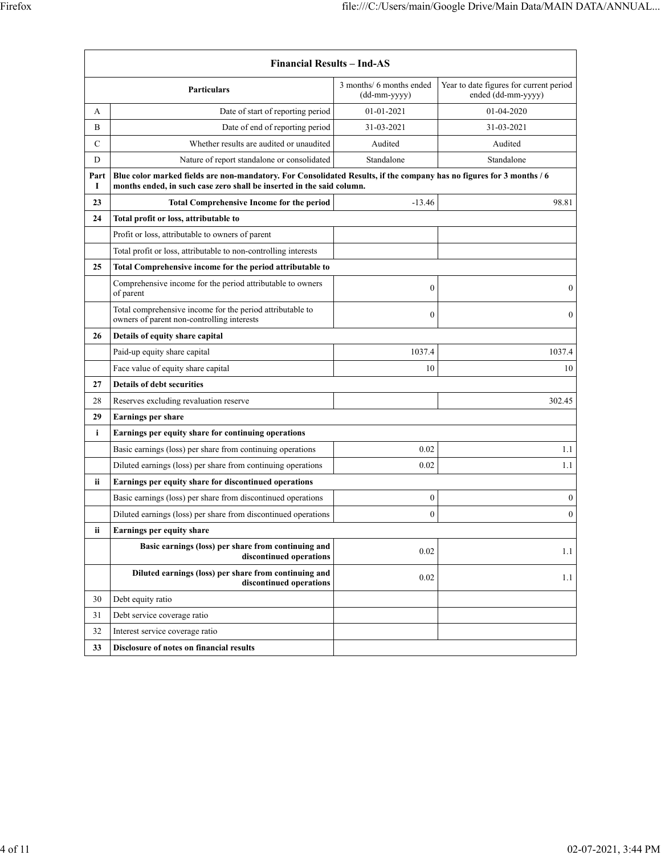|           | <b>Financial Results - Ind-AS</b>                                                                                                                                                             |                                            |                                                               |  |  |
|-----------|-----------------------------------------------------------------------------------------------------------------------------------------------------------------------------------------------|--------------------------------------------|---------------------------------------------------------------|--|--|
|           | <b>Particulars</b>                                                                                                                                                                            | 3 months/ 6 months ended<br>$(dd-mm-yyyy)$ | Year to date figures for current period<br>ended (dd-mm-yyyy) |  |  |
| А         | Date of start of reporting period                                                                                                                                                             | 01-01-2021                                 | 01-04-2020                                                    |  |  |
| B         | Date of end of reporting period                                                                                                                                                               | 31-03-2021                                 | 31-03-2021                                                    |  |  |
| C         | Whether results are audited or unaudited                                                                                                                                                      | Audited                                    | Audited                                                       |  |  |
| D         | Nature of report standalone or consolidated                                                                                                                                                   | Standalone                                 | Standalone                                                    |  |  |
| Part<br>1 | Blue color marked fields are non-mandatory. For Consolidated Results, if the company has no figures for 3 months / 6<br>months ended, in such case zero shall be inserted in the said column. |                                            |                                                               |  |  |
| 23        | <b>Total Comprehensive Income for the period</b>                                                                                                                                              | $-13.46$                                   | 98.81                                                         |  |  |
| 24        | Total profit or loss, attributable to                                                                                                                                                         |                                            |                                                               |  |  |
|           | Profit or loss, attributable to owners of parent                                                                                                                                              |                                            |                                                               |  |  |
|           | Total profit or loss, attributable to non-controlling interests                                                                                                                               |                                            |                                                               |  |  |
| 25        | Total Comprehensive income for the period attributable to                                                                                                                                     |                                            |                                                               |  |  |
|           | Comprehensive income for the period attributable to owners<br>of parent                                                                                                                       | $\boldsymbol{0}$                           | $\theta$                                                      |  |  |
|           | Total comprehensive income for the period attributable to<br>owners of parent non-controlling interests                                                                                       | $\mathbf{0}$                               | $\mathbf{0}$                                                  |  |  |
| 26        | Details of equity share capital                                                                                                                                                               |                                            |                                                               |  |  |
|           | Paid-up equity share capital                                                                                                                                                                  | 1037.4                                     | 1037.4                                                        |  |  |
|           | Face value of equity share capital                                                                                                                                                            | 10                                         | 10                                                            |  |  |
| 27        | <b>Details of debt securities</b>                                                                                                                                                             |                                            |                                                               |  |  |
| 28        | Reserves excluding revaluation reserve                                                                                                                                                        |                                            | 302.45                                                        |  |  |
| 29        | <b>Earnings per share</b>                                                                                                                                                                     |                                            |                                                               |  |  |
| i         | Earnings per equity share for continuing operations                                                                                                                                           |                                            |                                                               |  |  |
|           | Basic earnings (loss) per share from continuing operations                                                                                                                                    | 0.02                                       | 1.1                                                           |  |  |
|           | Diluted earnings (loss) per share from continuing operations                                                                                                                                  | 0.02                                       | 1.1                                                           |  |  |
| ii        | Earnings per equity share for discontinued operations                                                                                                                                         |                                            |                                                               |  |  |
|           | Basic earnings (loss) per share from discontinued operations                                                                                                                                  | $\boldsymbol{0}$                           | $\boldsymbol{0}$                                              |  |  |
|           | Diluted earnings (loss) per share from discontinued operations                                                                                                                                | $\theta$                                   | $\boldsymbol{0}$                                              |  |  |
| ii        | Earnings per equity share                                                                                                                                                                     |                                            |                                                               |  |  |
|           | Basic earnings (loss) per share from continuing and<br>discontinued operations                                                                                                                | 0.02                                       | 1.1                                                           |  |  |
|           | Diluted earnings (loss) per share from continuing and<br>discontinued operations                                                                                                              | 0.02                                       | 1.1                                                           |  |  |
| 30        | Debt equity ratio                                                                                                                                                                             |                                            |                                                               |  |  |
| 31        | Debt service coverage ratio                                                                                                                                                                   |                                            |                                                               |  |  |
| 32        | Interest service coverage ratio                                                                                                                                                               |                                            |                                                               |  |  |
| 33        | Disclosure of notes on financial results                                                                                                                                                      |                                            |                                                               |  |  |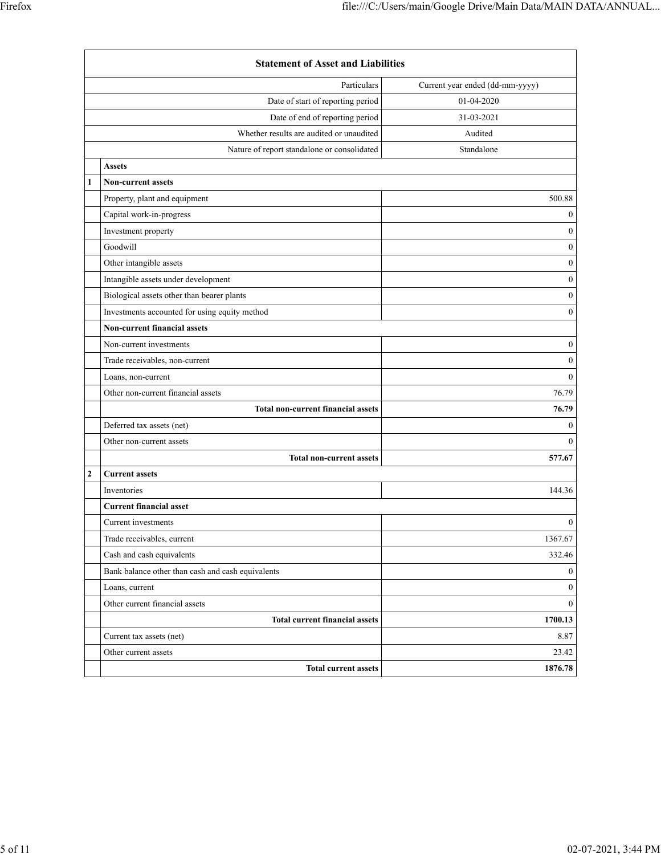|                | <b>Statement of Asset and Liabilities</b>         |                                 |  |
|----------------|---------------------------------------------------|---------------------------------|--|
|                | Particulars                                       | Current year ended (dd-mm-yyyy) |  |
|                | Date of start of reporting period                 | 01-04-2020                      |  |
|                | Date of end of reporting period                   | 31-03-2021                      |  |
|                | Whether results are audited or unaudited          | Audited                         |  |
|                | Nature of report standalone or consolidated       | Standalone                      |  |
|                | <b>Assets</b>                                     |                                 |  |
| 1              | <b>Non-current assets</b>                         |                                 |  |
|                | Property, plant and equipment                     | 500.88                          |  |
|                | Capital work-in-progress                          | $\mathbf{0}$                    |  |
|                | Investment property                               | $\mathbf{0}$                    |  |
|                | Goodwill                                          | $\mathbf{0}$                    |  |
|                | Other intangible assets                           | $\boldsymbol{0}$                |  |
|                | Intangible assets under development               | $\boldsymbol{0}$                |  |
|                | Biological assets other than bearer plants        | $\boldsymbol{0}$                |  |
|                | Investments accounted for using equity method     | $\mathbf{0}$                    |  |
|                | <b>Non-current financial assets</b>               |                                 |  |
|                | Non-current investments                           | $\boldsymbol{0}$                |  |
|                | Trade receivables, non-current                    | $\boldsymbol{0}$                |  |
|                | Loans, non-current                                | $\theta$                        |  |
|                | Other non-current financial assets                | 76.79                           |  |
|                | <b>Total non-current financial assets</b>         | 76.79                           |  |
|                | Deferred tax assets (net)                         | $\mathbf{0}$                    |  |
|                | Other non-current assets                          | $\theta$                        |  |
|                | <b>Total non-current assets</b>                   | 577.67                          |  |
| $\overline{c}$ | <b>Current assets</b>                             |                                 |  |
|                | Inventories                                       | 144.36                          |  |
|                | <b>Current financial asset</b>                    |                                 |  |
|                | Current investments                               | $\boldsymbol{0}$                |  |
|                | Trade receivables, current                        | 1367.67                         |  |
|                | Cash and cash equivalents                         | 332.46                          |  |
|                | Bank balance other than cash and cash equivalents | $\mathbf{0}$                    |  |
|                | Loans, current                                    | $\mathbf{0}$                    |  |
|                | Other current financial assets                    | $\mathbf{0}$                    |  |
|                | <b>Total current financial assets</b>             | 1700.13                         |  |
|                | Current tax assets (net)                          | 8.87                            |  |
|                | Other current assets                              | 23.42                           |  |
|                | <b>Total current assets</b>                       | 1876.78                         |  |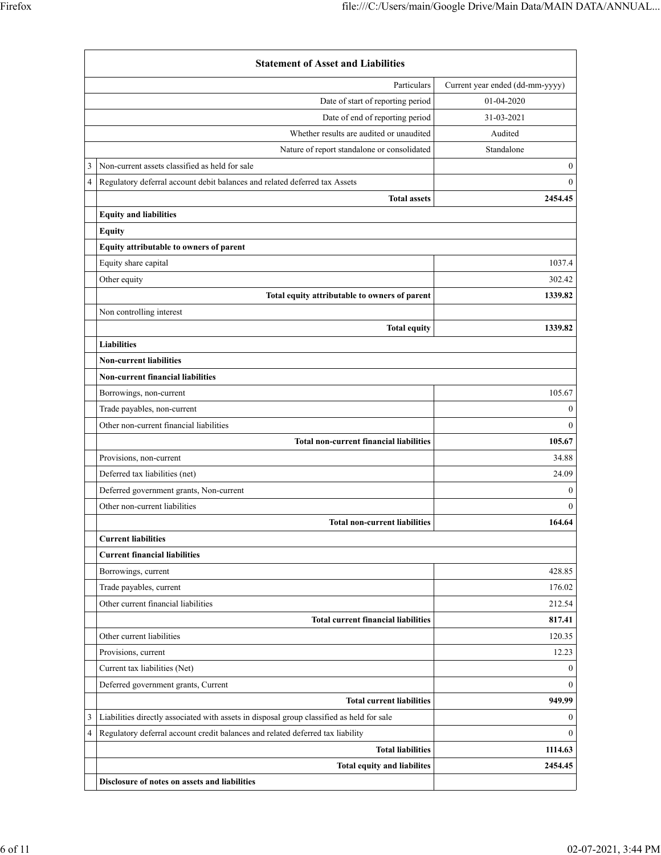|                | <b>Statement of Asset and Liabilities</b>                                                 |                                 |  |  |
|----------------|-------------------------------------------------------------------------------------------|---------------------------------|--|--|
|                | Particulars                                                                               | Current year ended (dd-mm-yyyy) |  |  |
|                | Date of start of reporting period                                                         | 01-04-2020                      |  |  |
|                | Date of end of reporting period                                                           | 31-03-2021                      |  |  |
|                | Whether results are audited or unaudited                                                  | Audited                         |  |  |
|                | Nature of report standalone or consolidated                                               | Standalone                      |  |  |
| 3              | Non-current assets classified as held for sale                                            | $\boldsymbol{0}$                |  |  |
| $\overline{4}$ | Regulatory deferral account debit balances and related deferred tax Assets                | $\mathbf{0}$                    |  |  |
|                | <b>Total assets</b>                                                                       | 2454.45                         |  |  |
|                | <b>Equity and liabilities</b>                                                             |                                 |  |  |
|                | <b>Equity</b>                                                                             |                                 |  |  |
|                | Equity attributable to owners of parent                                                   |                                 |  |  |
|                | Equity share capital                                                                      | 1037.4                          |  |  |
|                | Other equity                                                                              | 302.42                          |  |  |
|                | Total equity attributable to owners of parent                                             | 1339.82                         |  |  |
|                | Non controlling interest                                                                  |                                 |  |  |
|                | <b>Total equity</b>                                                                       | 1339.82                         |  |  |
|                | <b>Liabilities</b>                                                                        |                                 |  |  |
|                | <b>Non-current liabilities</b>                                                            |                                 |  |  |
|                | <b>Non-current financial liabilities</b>                                                  |                                 |  |  |
|                | Borrowings, non-current                                                                   | 105.67                          |  |  |
|                | Trade payables, non-current                                                               | $\mathbf{0}$                    |  |  |
|                | Other non-current financial liabilities                                                   | $\theta$                        |  |  |
|                | <b>Total non-current financial liabilities</b>                                            | 105.67                          |  |  |
|                | Provisions, non-current                                                                   | 34.88                           |  |  |
|                | Deferred tax liabilities (net)                                                            | 24.09                           |  |  |
|                | Deferred government grants, Non-current                                                   | $\mathbf{0}$                    |  |  |
|                | Other non-current liabilities                                                             | $\theta$                        |  |  |
|                | <b>Total non-current liabilities</b>                                                      | 164.64                          |  |  |
|                | <b>Current liabilities</b>                                                                |                                 |  |  |
|                | <b>Current financial liabilities</b>                                                      |                                 |  |  |
|                | Borrowings, current                                                                       | 428.85                          |  |  |
|                | Trade payables, current                                                                   | 176.02                          |  |  |
|                | Other current financial liabilities                                                       | 212.54                          |  |  |
|                | <b>Total current financial liabilities</b>                                                | 817.41                          |  |  |
|                | Other current liabilities                                                                 | 120.35                          |  |  |
|                | Provisions, current                                                                       | 12.23                           |  |  |
|                | Current tax liabilities (Net)                                                             | $\boldsymbol{0}$                |  |  |
|                | Deferred government grants, Current                                                       | $\theta$                        |  |  |
|                | <b>Total current liabilities</b>                                                          | 949.99                          |  |  |
| 3              | Liabilities directly associated with assets in disposal group classified as held for sale | $\boldsymbol{0}$                |  |  |
| $\overline{4}$ | Regulatory deferral account credit balances and related deferred tax liability            | $\theta$                        |  |  |
|                | <b>Total liabilities</b>                                                                  | 1114.63                         |  |  |
|                | <b>Total equity and liabilites</b>                                                        | 2454.45                         |  |  |
|                | Disclosure of notes on assets and liabilities                                             |                                 |  |  |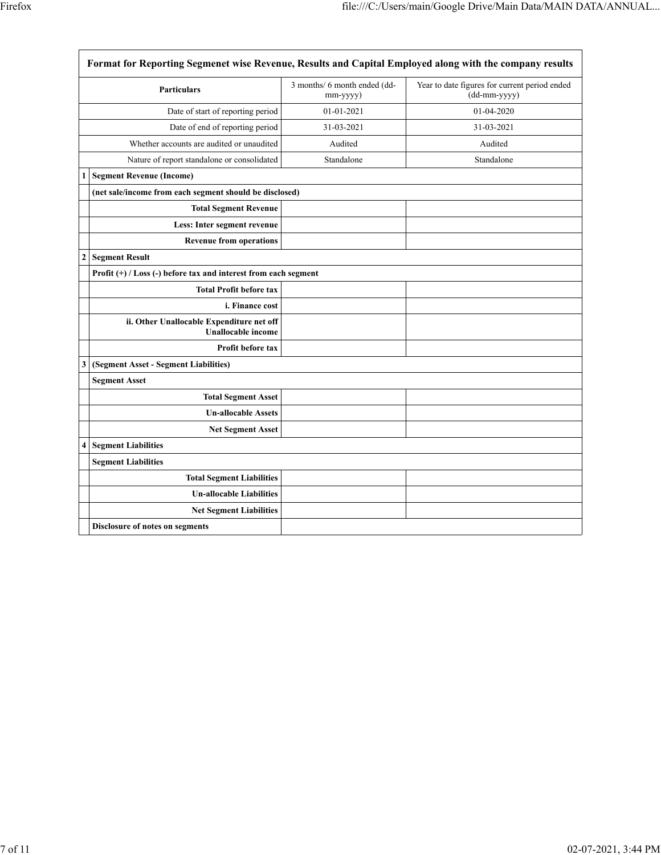|                  | Format for Reporting Segmenet wise Revenue, Results and Capital Employed along with the company results |                                          |                                                               |  |
|------------------|---------------------------------------------------------------------------------------------------------|------------------------------------------|---------------------------------------------------------------|--|
|                  | <b>Particulars</b>                                                                                      | 3 months/ 6 month ended (dd-<br>mm-yyyy) | Year to date figures for current period ended<br>(dd-mm-yyyy) |  |
|                  | Date of start of reporting period                                                                       | 01-01-2021                               | 01-04-2020                                                    |  |
|                  | Date of end of reporting period                                                                         | 31-03-2021                               | 31-03-2021                                                    |  |
|                  | Whether accounts are audited or unaudited                                                               | Audited                                  | Audited                                                       |  |
|                  | Nature of report standalone or consolidated                                                             | Standalone                               | Standalone                                                    |  |
| 1                | <b>Segment Revenue (Income)</b>                                                                         |                                          |                                                               |  |
|                  | (net sale/income from each segment should be disclosed)                                                 |                                          |                                                               |  |
|                  | <b>Total Segment Revenue</b>                                                                            |                                          |                                                               |  |
|                  | Less: Inter segment revenue                                                                             |                                          |                                                               |  |
|                  | <b>Revenue from operations</b>                                                                          |                                          |                                                               |  |
| $\boldsymbol{2}$ | <b>Segment Result</b>                                                                                   |                                          |                                                               |  |
|                  | Profit $(+)$ / Loss (-) before tax and interest from each segment                                       |                                          |                                                               |  |
|                  | <b>Total Profit before tax</b>                                                                          |                                          |                                                               |  |
|                  | i. Finance cost                                                                                         |                                          |                                                               |  |
|                  | ii. Other Unallocable Expenditure net off<br><b>Unallocable income</b>                                  |                                          |                                                               |  |
|                  | <b>Profit before tax</b>                                                                                |                                          |                                                               |  |
| 3                | (Segment Asset - Segment Liabilities)                                                                   |                                          |                                                               |  |
|                  | <b>Segment Asset</b>                                                                                    |                                          |                                                               |  |
|                  | <b>Total Segment Asset</b>                                                                              |                                          |                                                               |  |
|                  | <b>Un-allocable Assets</b>                                                                              |                                          |                                                               |  |
|                  | <b>Net Segment Asset</b>                                                                                |                                          |                                                               |  |
| 4                | <b>Segment Liabilities</b>                                                                              |                                          |                                                               |  |
|                  | <b>Segment Liabilities</b>                                                                              |                                          |                                                               |  |
|                  | <b>Total Segment Liabilities</b>                                                                        |                                          |                                                               |  |
|                  | <b>Un-allocable Liabilities</b>                                                                         |                                          |                                                               |  |
|                  | <b>Net Segment Liabilities</b>                                                                          |                                          |                                                               |  |
|                  | <b>Disclosure of notes on segments</b>                                                                  |                                          |                                                               |  |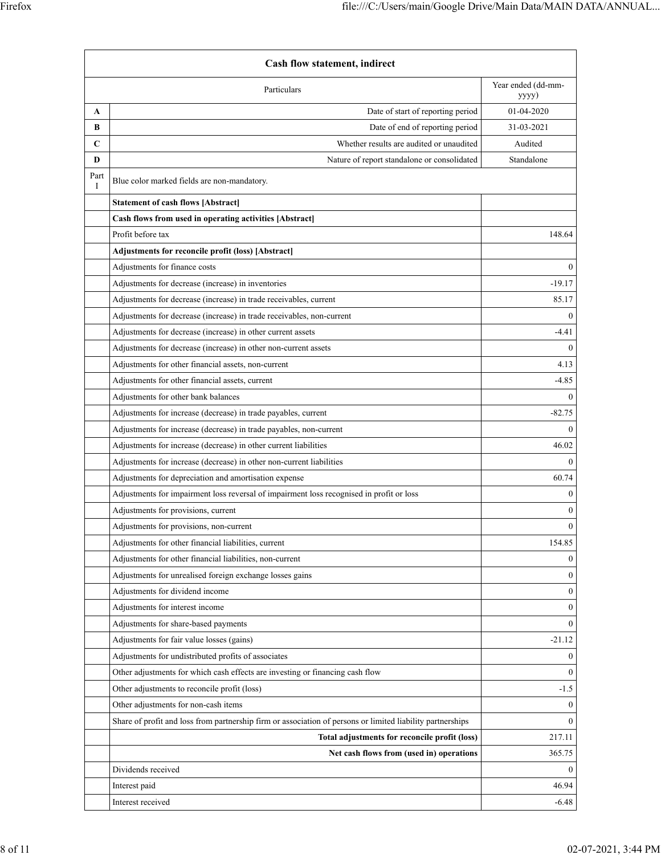| <b>Cash flow statement, indirect</b> |                                                                                                            |                             |
|--------------------------------------|------------------------------------------------------------------------------------------------------------|-----------------------------|
|                                      | Particulars                                                                                                | Year ended (dd-mm-<br>yyyy) |
| A                                    | Date of start of reporting period                                                                          | 01-04-2020                  |
| В                                    | Date of end of reporting period                                                                            | 31-03-2021                  |
| C                                    | Whether results are audited or unaudited                                                                   | Audited                     |
| D                                    | Nature of report standalone or consolidated                                                                | Standalone                  |
| Part<br>I                            | Blue color marked fields are non-mandatory.                                                                |                             |
|                                      | <b>Statement of cash flows [Abstract]</b>                                                                  |                             |
|                                      | Cash flows from used in operating activities [Abstract]                                                    |                             |
|                                      | Profit before tax                                                                                          | 148.64                      |
|                                      | Adjustments for reconcile profit (loss) [Abstract]                                                         |                             |
|                                      | Adjustments for finance costs                                                                              | $\theta$                    |
|                                      | Adjustments for decrease (increase) in inventories                                                         | $-19.17$                    |
|                                      | Adjustments for decrease (increase) in trade receivables, current                                          | 85.17                       |
|                                      | Adjustments for decrease (increase) in trade receivables, non-current                                      | $\Omega$                    |
|                                      | Adjustments for decrease (increase) in other current assets                                                | $-4.41$                     |
|                                      | Adjustments for decrease (increase) in other non-current assets                                            | $\Omega$                    |
|                                      | Adjustments for other financial assets, non-current                                                        | 4.13                        |
|                                      | Adjustments for other financial assets, current                                                            | $-4.85$                     |
|                                      | Adjustments for other bank balances                                                                        | $\Omega$                    |
|                                      | Adjustments for increase (decrease) in trade payables, current                                             | $-82.75$                    |
|                                      | Adjustments for increase (decrease) in trade payables, non-current                                         | $\theta$                    |
|                                      | Adjustments for increase (decrease) in other current liabilities                                           | 46.02                       |
|                                      | Adjustments for increase (decrease) in other non-current liabilities                                       | $\theta$                    |
|                                      | Adjustments for depreciation and amortisation expense                                                      | 60.74                       |
|                                      | Adjustments for impairment loss reversal of impairment loss recognised in profit or loss                   | $\boldsymbol{0}$            |
|                                      | Adjustments for provisions, current                                                                        | $\mathbf{0}$                |
|                                      | Adjustments for provisions, non-current                                                                    | $\boldsymbol{0}$            |
|                                      | Adjustments for other financial liabilities, current                                                       | 154.85                      |
|                                      | Adjustments for other financial liabilities, non-current                                                   | $\mathbf{0}$                |
|                                      | Adjustments for unrealised foreign exchange losses gains                                                   | $\mathbf{0}$                |
|                                      | Adjustments for dividend income                                                                            | $\boldsymbol{0}$            |
|                                      | Adjustments for interest income                                                                            | $\mathbf{0}$                |
|                                      | Adjustments for share-based payments                                                                       | $\mathbf{0}$                |
|                                      | Adjustments for fair value losses (gains)                                                                  | $-21.12$                    |
|                                      | Adjustments for undistributed profits of associates                                                        | $\bf{0}$                    |
|                                      | Other adjustments for which cash effects are investing or financing cash flow                              | $\mathbf{0}$                |
|                                      | Other adjustments to reconcile profit (loss)                                                               | $-1.5$                      |
|                                      | Other adjustments for non-cash items                                                                       | $\mathbf{0}$                |
|                                      | Share of profit and loss from partnership firm or association of persons or limited liability partnerships | $\mathbf{0}$                |
|                                      | Total adjustments for reconcile profit (loss)                                                              | 217.11                      |
|                                      | Net cash flows from (used in) operations                                                                   | 365.75                      |
|                                      | Dividends received                                                                                         | $\mathbf{0}$                |
|                                      | Interest paid                                                                                              | 46.94                       |
|                                      | Interest received                                                                                          | $-6.48$                     |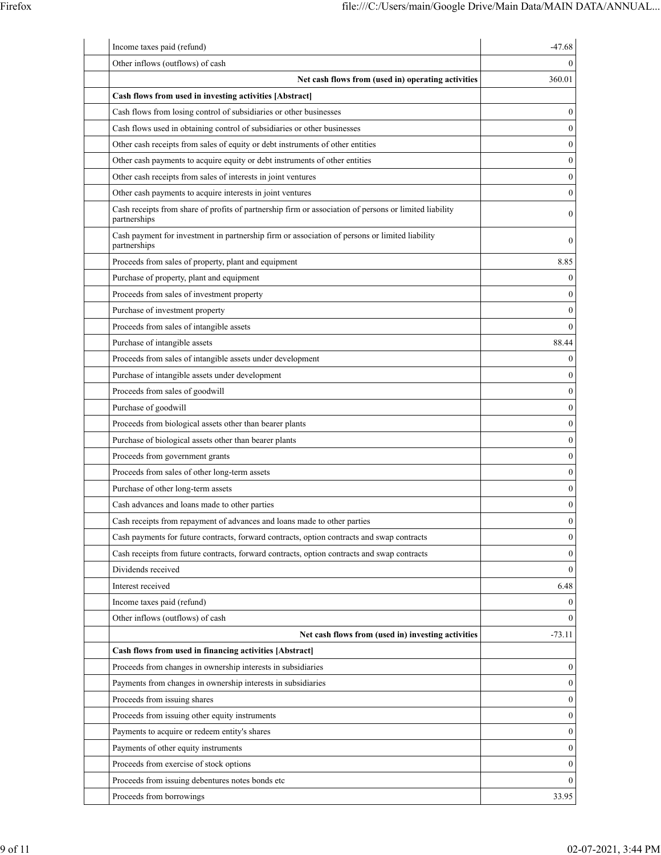| Income taxes paid (refund)                                                                                             | $-47.68$         |
|------------------------------------------------------------------------------------------------------------------------|------------------|
| Other inflows (outflows) of cash                                                                                       | 0                |
| Net cash flows from (used in) operating activities                                                                     | 360.01           |
| Cash flows from used in investing activities [Abstract]                                                                |                  |
| Cash flows from losing control of subsidiaries or other businesses                                                     | $\boldsymbol{0}$ |
| Cash flows used in obtaining control of subsidiaries or other businesses                                               | $\mathbf{0}$     |
| Other cash receipts from sales of equity or debt instruments of other entities                                         | $\mathbf{0}$     |
| Other cash payments to acquire equity or debt instruments of other entities                                            | $\boldsymbol{0}$ |
| Other cash receipts from sales of interests in joint ventures                                                          | $\boldsymbol{0}$ |
| Other cash payments to acquire interests in joint ventures                                                             | $\boldsymbol{0}$ |
| Cash receipts from share of profits of partnership firm or association of persons or limited liability<br>partnerships | $\boldsymbol{0}$ |
| Cash payment for investment in partnership firm or association of persons or limited liability<br>partnerships         | $\mathbf{0}$     |
| Proceeds from sales of property, plant and equipment                                                                   | 8.85             |
| Purchase of property, plant and equipment                                                                              | $\boldsymbol{0}$ |
| Proceeds from sales of investment property                                                                             | $\boldsymbol{0}$ |
| Purchase of investment property                                                                                        | $\boldsymbol{0}$ |
| Proceeds from sales of intangible assets                                                                               | $\mathbf{0}$     |
| Purchase of intangible assets                                                                                          | 88.44            |
| Proceeds from sales of intangible assets under development                                                             | $\boldsymbol{0}$ |
| Purchase of intangible assets under development                                                                        | $\boldsymbol{0}$ |
| Proceeds from sales of goodwill                                                                                        | $\boldsymbol{0}$ |
| Purchase of goodwill                                                                                                   | $\boldsymbol{0}$ |
| Proceeds from biological assets other than bearer plants                                                               | $\boldsymbol{0}$ |
| Purchase of biological assets other than bearer plants                                                                 | $\boldsymbol{0}$ |
| Proceeds from government grants                                                                                        | $\boldsymbol{0}$ |
| Proceeds from sales of other long-term assets                                                                          | $\boldsymbol{0}$ |
| Purchase of other long-term assets                                                                                     | $\boldsymbol{0}$ |
| Cash advances and loans made to other parties                                                                          | $\boldsymbol{0}$ |
| Cash receipts from repayment of advances and loans made to other parties                                               | $\boldsymbol{0}$ |
| Cash payments for future contracts, forward contracts, option contracts and swap contracts                             | $\boldsymbol{0}$ |
| Cash receipts from future contracts, forward contracts, option contracts and swap contracts                            | $\mathbf{0}$     |
| Dividends received                                                                                                     | $\boldsymbol{0}$ |
| Interest received                                                                                                      | 6.48             |
| Income taxes paid (refund)                                                                                             | $\boldsymbol{0}$ |
| Other inflows (outflows) of cash                                                                                       | $\theta$         |
| Net cash flows from (used in) investing activities                                                                     | $-73.11$         |
| Cash flows from used in financing activities [Abstract]                                                                |                  |
| Proceeds from changes in ownership interests in subsidiaries                                                           | 0                |
| Payments from changes in ownership interests in subsidiaries                                                           | $\boldsymbol{0}$ |
| Proceeds from issuing shares                                                                                           | $\boldsymbol{0}$ |
| Proceeds from issuing other equity instruments                                                                         | $\boldsymbol{0}$ |
| Payments to acquire or redeem entity's shares                                                                          | $\boldsymbol{0}$ |
| Payments of other equity instruments                                                                                   | $\boldsymbol{0}$ |
| Proceeds from exercise of stock options                                                                                | $\boldsymbol{0}$ |
| Proceeds from issuing debentures notes bonds etc                                                                       | $\mathbf{0}$     |
| Proceeds from borrowings                                                                                               | 33.95            |